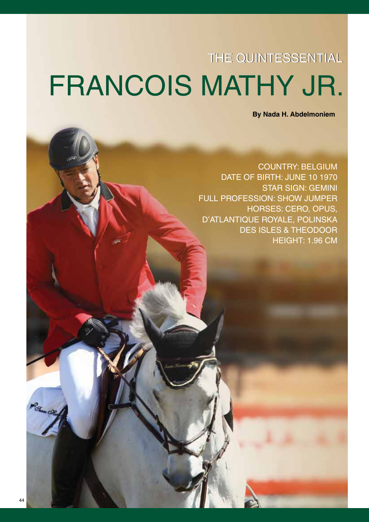## THE QUINTESSENTIAL FRANCOIS MATHY JR.

**By Nada H. Abdelmoniem** 

**COUNTRY: BELGIUM** DATE OF BIRTH: JUNE 10 1970 **STAR SIGN: GEMINI FULL PROFESSION: SHOW JUMPER HORSES: CERO, OPUS,** D'ATLANTIQUE ROYALE, POLINSKA **DES ISLES & THEODOOR** HEIGHT: 1.96 CM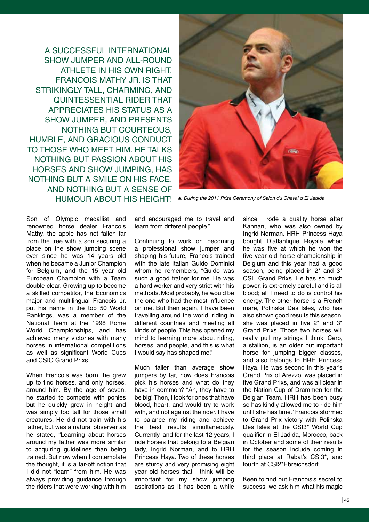A SUCCESSFUL INTERNATIONAL SHOW JUMPER AND ALL-ROUND ATHLETE IN HIS OWN RIGHT, FRANCOIS MATHY JR. IS THAT STRIKINGLY TALL, CHARMING, AND QUINTESSENTIAL RIDER THAT APPRECIATES HIS STATUS AS A SHOW JUMPER, AND PRESENTS NOTHING BUT COURTEOUS, HUMBLE, AND GRACIOUS CONDUCT TO THOSE WHO MEET HIM. HE TALKS NOTHING BUT PASSION ABOUT HIS HORSES AND SHOW JUMPING, HAS NOTHING BUT A SMILE ON HIS FACE, AND NOTHING BUT A SENSE OF HUMOUR ABOUT HIS HEIGHT! *During the 2011 Prize Ceremony of Salon du Cheval d'El Jadida*



Son of Olympic medallist and renowned horse dealer Francois Mathy, the apple has not fallen far from the tree with a son securing a place on the show jumping scene ever since he was 14 years old when he became a Junior Champion for Belgium, and the 15 year old European Champion with a Team double clear. Growing up to become a skilled competitor, the Economics major and multilingual Francois Jr. put his name in the top 50 World Rankings, was a member of the National Team at the 1998 Rome World Championships, and has achieved many victories with many horses in international competitions as well as significant World Cups and CSIO Grand Prixs.

When Francois was born, he grew up to find horses, and only horses, around him. By the age of seven, he started to compete with ponies but he quickly grew in height and was simply too tall for those small creatures. He did not train with his father, but was a natural observer as he stated, "Learning about horses around my father was more similar to acquiring guidelines than being trained. But now when I contemplate the thought, it is a far-off notion that I did not "learn" from him. He was always providing guidance through the riders that were working with him

and encouraged me to travel and learn from different people."

Continuing to work on becoming a professional show jumper and shaping his future, Francois trained with the late Italian Guido Dominici whom he remembers, "Guido was such a good trainer for me. He was a hard worker and very strict with his methods. Most probably, he would be the one who had the most influence on me. But then again, I have been travelling around the world, riding in different countries and meeting all kinds of people. This has opened my mind to learning more about riding, horses, and people, and this is what I would say has shaped me."

Much taller than average show jumpers by far, how does Francois pick his horses and what do they have in common? "Ah, they have to be big! Then, I look for ones that have blood, heart, and would try to work with, and not against the rider. I have to balance my riding and achieve the best results simultaneously. Currently, and for the last 12 years, I ride horses that belong to a Belgian lady, Ingrid Norman, and to HRH Princess Haya. Two of these horses are sturdy and very promising eight year old horses that I think will be important for my show jumping aspirations as it has been a while

since I rode a quality horse after Kannan, who was also owned by Ingrid Norman. HRH Princess Haya bought D'atlantique Royale when he was five at which he won the five year old horse championship in Belgium and this year had a good season, being placed in 2<sup>\*</sup> and 3<sup>\*</sup> CSI Grand Prixs. He has so much power, is extremely careful and is all blood; all I need to do is control his energy. The other horse is a French mare, Polinska Des Isles, who has also shown good results this season; she was placed in five 2\* and 3\* Grand Prixs. Those two horses will really pull my strings I think. Cero, a stallion, is an older but important horse for jumping bigger classes, and also belongs to HRH Princess Haya. He was second in this year's Grand Prix of Arezzo, was placed in five Grand Prixs, and was all clear in the Nation Cup of Drammen for the Belgian Team. HRH has been busy so has kindly allowed me to ride him until she has time." Francois stormed to Grand Prix victory with Polinska Des Isles at the CSI3\* World Cup qualifier in El Jadida, Morocco, back in October and some of their results for the season include coming in third place at Rabat's CSI3\*, and fourth at CSI2\*Ebreichsdorf.

Keen to find out Francois's secret to success, we ask him what his magic